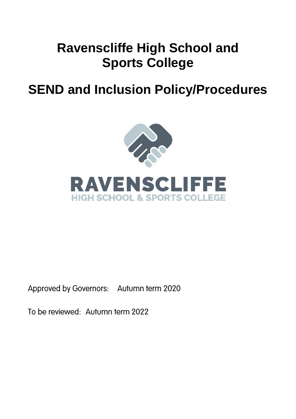# **Ravenscliffe High School and Sports College**

## **SEND and Inclusion Policy/Procedures**



Approved by Governors: Autumn term 2020

To be reviewed: Autumn term 2022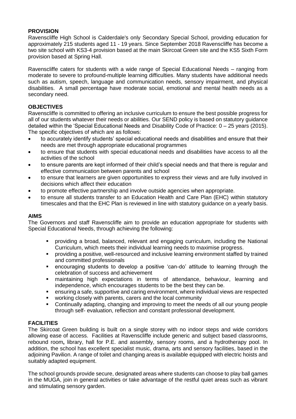## **PROVISION**

Ravenscliffe High School is Calderdale's only Secondary Special School, providing education for approximately 215 students aged 11 - 19 years. Since September 2018 Ravenscliffe has become a two site school with KS3-4 provision based at the main Skircoat Green site and the KS5 Sixth Form provision based at Spring Hall.

Ravenscliffe caters for students with a wide range of Special Educational Needs – ranging from moderate to severe to profound-multiple learning difficulties. Many students have additional needs such as autism, speech, language and communication needs, sensory impairment, and physical disabilities. A small percentage have moderate social, emotional and mental health needs as a secondary need.

## **OBJECTIVES**

Ravenscliffe is committed to offering an inclusive curriculum to ensure the best possible progress for all of our students whatever their needs or abilities. Our SEND policy is based on statutory guidance detailed within the 'Special Educational Needs and Disability Code of Practice: 0 – 25 years (2015). The specific objectives of which are as follows:

- to accurately identify students' special educational needs and disabilities and ensure that their needs are met through appropriate educational programmes
- to ensure that students with special educational needs and disabilities have access to all the activities of the school
- to ensure parents are kept informed of their child's special needs and that there is regular and effective communication between parents and school
- to ensure that learners are given opportunities to express their views and are fully involved in decisions which affect their education
- to promote effective partnership and involve outside agencies when appropriate.
- to ensure all students transfer to an Education Health and Care Plan (EHC) within statutory timescales and that the EHC Plan is reviewed in line with statutory guidance on a yearly basis.

## **AIMS**

The Governors and staff Ravenscliffe aim to provide an education appropriate for students with Special Educational Needs, through achieving the following:

- providing a broad, balanced, relevant and engaging curriculum, including the National Curriculum, which meets their individual learning needs to maximise progress.
- providing a positive, well-resourced and inclusive learning environment staffed by trained and committed professionals
- encouraging students to develop a positive 'can-do' attitude to learning through the celebration of success and achievement
- maintaining high expectations in terms of attendance, behaviour, learning and independence, which encourages students to be the best they can be.
- ensuring a safe, supportive and caring environment, where individual views are respected
- working closely with parents, carers and the local community
- Continually adapting, changing and improving to meet the needs of all our young people through self- evaluation, reflection and constant professional development.

## **FACILITIES**

The Skircoat Green building is built on a single storey with no indoor steps and wide corridors allowing ease of access. Facilities at Ravenscliffe include generic and subject based classrooms, rebound room**,** library, hall for P.E. and assembly, sensory rooms, and a hydrotherapy pool. In addition, the school has excellent specialist music, drama, arts and sensory facilities, based in the adjoining Pavilion. A range of toilet and changing areas is available equipped with electric hoists and suitably adapted equipment.

The school grounds provide secure, designated areas where students can choose to play ball games in the MUGA, join in general activities or take advantage of the restful quiet areas such as vibrant and stimulating sensory garden.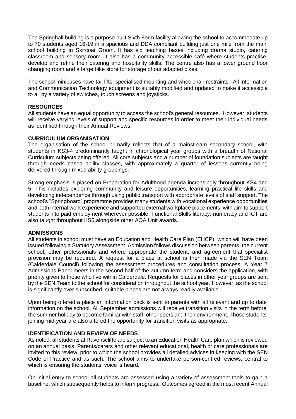The Springhall building is a purpose built Sixth Form facility allowing the school to accommodate up to 70 students aged 16-19 in a spacious and DDA compliant building just one mile from the main school building in Skircoat Green. It has six teaching bases including drama studio, catering classroom and sensory room. It also has a community accessible café where students practise, develop and refine their catering and hospitality skills. The centre also has a lower ground floor changing room and a large bike store for storage of our adapted bikes.

The school minibuses have tail lifts, specialised mounting and wheelchair restraints. All Information and Communication Technology equipment is suitably modified and updated to make it accessible to all by a variety of switches, touch screens and joysticks.

## **RESOURCES**

All students have an equal opportunity to access the school's general resources. However, students will receive varying levels of support and specific resources in order to meet their individual needs as identified through their Annual Reviews.

#### **CURRICULUM ORGANISATION**

The organisation of the school primarily reflects that of a mainstream secondary school, with students in KS3-4 predominantly taught in chronological year groups with a breadth of National Curriculum subjects being offered. All core subjects and a number of foundation subjects are taught through needs based ability classes, with approximately a quarter of lessons currently being delivered through mixed ability groupings.

Strong emphasis is placed on Preparation for Adulthood agenda increasingly throughout KS4 and 5. This includes exploring community and leisure opportunities, learning practical life skills and developing independence through using public transport with appropriate levels of staff support. The school's "Springboard" programme provides many students with vocational experience opportunities and both internal work experience and supported external workplace placements, with aim to support students into paid employment wherever possible. Functional Skills literacy, numeracy and ICT are also taught throughout KS5,alongside other AQA Unit awards.

#### **ADMISSIONS**

All students in school must have an Education and Health Care Plan (EHCP), which will have been issued following a Statutory Assessment. Admission follows discussion between parents, the current school, other professionals and where appropriate the student, and agreement that specialist provision may be required. A request for a place at school is then made via the SEN Team (Calderdale Council) following the assessment procedures and consultation process. A Year 7 Admissions Panel meets in the second half of the autumn term and considers the application, with priority given to those who live within Calderdale. Requests for places in other year groups are sent by the SEN Team to the school for consideration throughout the school year. However, as the school is significantly over subscribed, suitable places are not always readily available.

Upon being offered a place an information pack is sent to parents with all relevant and up to date information on the school. All September admissions will receive transition visits in the term before the summer holiday to become familiar with staff, other peers and their environment. Those students joining mid-year are also offered the opportunity for transition visits as appropriate.

## **IDENTIFICATION AND REVIEW OF NEEDS**

As noted, all students at Ravenscliffe are subject to an Education Health Care plan which is reviewed on an annual basis. Parents/carers and other relevant educational, health or care professionals are invited to this review, prior to which the school provides all detailed advices in keeping with the SEN Code of Practice and as such. The school aims to undertake person-centred reviews, central to which is ensuring the students' voice is heard.

On initial entry to school all students are assessed using a variety of assessment tools to gain a baseline, which subsequently helps to inform progress. Outcomes agreed in the most recent Annual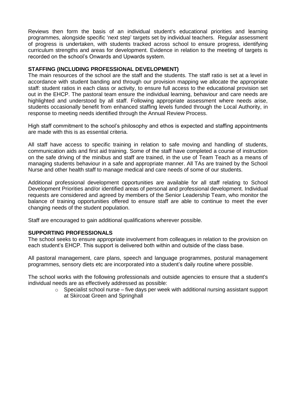Reviews then form the basis of an individual student's educational priorities and learning programmes, alongside specific 'next step' targets set by individual teachers. Regular assessment of progress is undertaken, with students tracked across school to ensure progress, identifying curriculum strengths and areas for development. Evidence in relation to the meeting of targets is recorded on the school's Onwards and Upwards system.

## **STAFFING (INCLUDING PROFESSIONAL DEVELOPMENT)**

The main resources of the school are the staff and the students. The staff ratio is set at a level in accordance with student banding and through our provision mapping we allocate the appropriate staff: student ratios in each class or activity, to ensure full access to the educational provision set out in the EHCP. The pastoral team ensure the individual learning, behaviour and care needs are highlighted and understood by all staff. Following appropriate assessment where needs arise, students occasionally benefit from enhanced staffing levels funded through the Local Authority, in response to meeting needs identified through the Annual Review Process.

High staff commitment to the school's philosophy and ethos is expected and staffing appointments are made with this is as essential criteria.

All staff have access to specific training in relation to safe moving and handling of students, communication aids and first aid training. Some of the staff have completed a course of instruction on the safe driving of the minibus and staff are trained, in the use of Team Teach as a means of managing students behaviour in a safe and appropriate manner. All TAs are trained by the School Nurse and other health staff to manage medical and care needs of some of our students.

Additional professional development opportunities are available for all staff relating to School Development Priorities and/or identified areas of personal and professional development. Individual requests are considered and agreed by members of the Senior Leadership Team, who monitor the balance of training opportunities offered to ensure staff are able to continue to meet the ever changing needs of the student population.

Staff are encouraged to gain additional qualifications wherever possible.

## **SUPPORTING PROFESSIONALS**

The school seeks to ensure appropriate involvement from colleagues in relation to the provision on each student's EHCP. This support is delivered both within and outside of the class base.

All pastoral management, care plans, speech and language programmes, postural management programmes, sensory diets etc are incorporated into a student's daily routine where possible.

The school works with the following professionals and outside agencies to ensure that a student's individual needs are as effectively addressed as possible:

> $\circ$  Specialist school nurse – five days per week with additional nursing assistant support at Skircoat Green and Springhall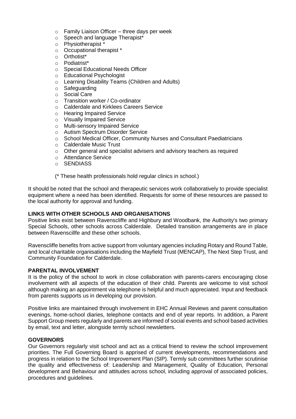- $\circ$  Family Liaison Officer three days per week
- o Speech and language Therapist\*
- o Physiotherapist \*
- o Occupational therapist \*
- o Orthotist\*
- o Podiatrist\*
- o Special Educational Needs Officer
- o Educational Psychologist
- o Learning Disability Teams (Children and Adults)
- o Safeguarding
- o Social Care
- o Transition worker / Co-ordinator
- o Calderdale and Kirklees Careers Service
- o Hearing Impaired Service
- o Visually Impaired Service
- o Multi-sensory Impaired Service
- o Autism Spectrum Disorder Service
- o School Medical Officer, Community Nurses and Consultant Paediatricians
- o Calderdale Music Trust
- o Other general and specialist advisers and advisory teachers as required
- o Attendance Service
- o SENDIASS

(\* These health professionals hold regular clinics in school.)

It should be noted that the school and therapeutic services work collaboratively to provide specialist equipment where a need has been identified. Requests for some of these resources are passed to the local authority for approval and funding.

## **LINKS WITH OTHER SCHOOLS AND ORGANISATIONS**

Positive links exist between Ravenscliffe and Highbury and Woodbank, the Authority's two primary Special Schools, other schools across Calderdale. Detailed transition arrangements are in place between Ravenscillfe and these other schools.

Ravenscliffe benefits from active support from voluntary agencies including Rotary and Round Table, and local charitable organisations including the Mayfield Trust (MENCAP), The Next Step Trust, and Community Foundation for Calderdale.

## **PARENTAL INVOLVEMENT**

It is the policy of the school to work in close collaboration with parents-carers encouraging close involvement with all aspects of the education of their child. Parents are welcome to visit school although making an appointment via telephone is helpful and much appreciated. Input and feedback from parents supports us in developing our provision.

Positive links are maintained through involvement in EHC Annual Reviews and parent consultation evenings, home-school diaries, telephone contacts and end of year reports. In addition, a Parent Support Group meets regularly and parents are informed of social events and school based activities by email, text and letter, alongside termly school newsletters.

#### **GOVERNORS**

Our Governors regularly visit school and act as a critical friend to review the school improvement priorities. The Full Governing Board is apprised of current developments, recommendations and progress in relation to the School Improvement Plan (SIP). Termly sub committees further scrutinise the quality and effectiveness of: Leadership and Management, Quality of Education, Personal development and Behaviour and attitudes across school, including approval of associated policies, procedures and guidelines.